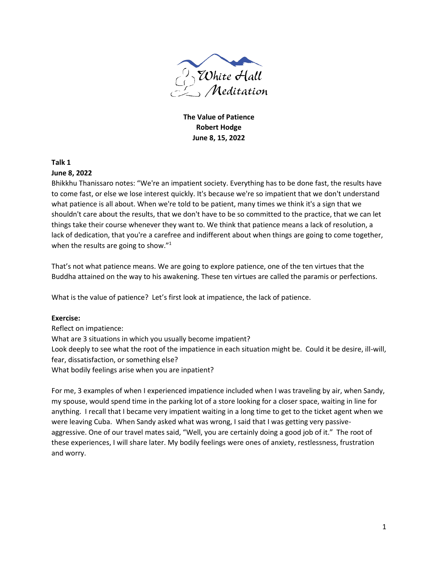

**The Value of Patience Robert Hodge June 8, 15, 2022**

## **Talk 1**

# **June 8, 2022**

Bhikkhu Thanissaro notes: "We're an impatient society. Everything has to be done fast, the results have to come fast, or else we lose interest quickly. It's because we're so impatient that we don't understand what patience is all about. When we're told to be patient, many times we think it's a sign that we shouldn't care about the results, that we don't have to be so committed to the practice, that we can let things take their course whenever they want to. We think that patience means a lack of resolution, a lack of dedication, that you're a carefree and indifferent about when things are going to come together, when the results are going to show."<sup>1</sup>

That's not what patience means. We are going to explore patience, one of the ten virtues that the Buddha attained on the way to his awakening. These ten virtues are called the paramis or perfections.

What is the value of patience? Let's first look at impatience, the lack of patience.

## **Exercise:**

Reflect on impatience: What are 3 situations in which you usually become impatient? Look deeply to see what the root of the impatience in each situation might be. Could it be desire, ill-will, fear, dissatisfaction, or something else? What bodily feelings arise when you are inpatient?

For me, 3 examples of when I experienced impatience included when I was traveling by air, when Sandy, my spouse, would spend time in the parking lot of a store looking for a closer space, waiting in line for anything. I recall that I became very impatient waiting in a long time to get to the ticket agent when we were leaving Cuba. When Sandy asked what was wrong, I said that I was getting very passiveaggressive. One of our travel mates said, "Well, you are certainly doing a good job of it." The root of these experiences, I will share later. My bodily feelings were ones of anxiety, restlessness, frustration and worry.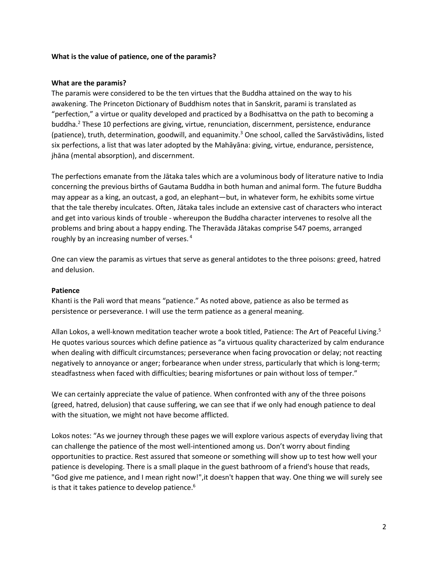#### **What is the value of patience, one of the paramis?**

## **What are the paramis?**

The paramis were considered to be the ten virtues that the Buddha attained on the way to his awakening. The Princeton Dictionary of Buddhism notes that in Sanskrit, parami is translated as "perfection," a virtue or quality developed and practiced by a Bodhisattva on the path to becoming a buddha.<sup>2</sup> These 10 perfections are giving, virtue, renunciation, discernment, persistence, endurance (patience), truth, determination, goodwill, and equanimity.<sup>3</sup> One school, called the Sarvāstivādins, listed six perfections, a list that was later adopted by the Mahāyāna: giving, virtue, endurance, persistence, jhāna (mental absorption), and discernment.

The perfections emanate from the Jātaka tales which are a voluminous body of literature native to India concerning the previous births of Gautama Buddha in both human and animal form. The future Buddha may appear as a king, an outcast, a god, an elephant—but, in whatever form, he exhibits some virtue that the tale thereby inculcates. Often, Jātaka tales include an extensive cast of characters who interact and get into various kinds of trouble - whereupon the Buddha character intervenes to resolve all the problems and bring about a happy ending. The Theravāda Jātakas comprise 547 poems, arranged roughly by an increasing number of verses. 4

One can view the paramis as virtues that serve as general antidotes to the three poisons: greed, hatred and delusion.

## **Patience**

Khanti is the Pali word that means "patience." As noted above, patience as also be termed as persistence or perseverance. I will use the term patience as a general meaning.

Allan Lokos, a well-known meditation teacher wrote a book titled, Patience: The Art of Peaceful Living.<sup>5</sup> He quotes various sources which define patience as "a virtuous quality characterized by calm endurance when dealing with difficult circumstances; perseverance when facing provocation or delay; not reacting negatively to annoyance or anger; forbearance when under stress, particularly that which is long-term; steadfastness when faced with difficulties; bearing misfortunes or pain without loss of temper."

We can certainly appreciate the value of patience. When confronted with any of the three poisons (greed, hatred, delusion) that cause suffering, we can see that if we only had enough patience to deal with the situation, we might not have become afflicted.

Lokos notes: "As we journey through these pages we will explore various aspects of everyday living that can challenge the patience of the most well-intentioned among us. Don't worry about finding opportunities to practice. Rest assured that someone or something will show up to test how well your patience is developing. There is a small plaque in the guest bathroom of a friend's house that reads, "God give me patience, and I mean right now!",it doesn't happen that way. One thing we will surely see is that it takes patience to develop patience.<sup>6</sup>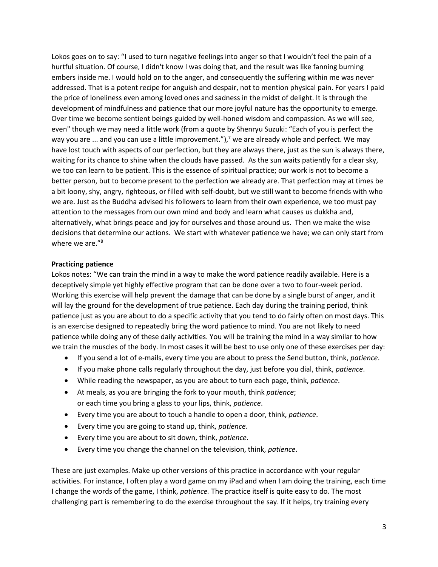Lokos goes on to say: "I used to turn negative feelings into anger so that I wouldn't feel the pain of a hurtful situation. Of course, I didn't know I was doing that, and the result was like fanning burning embers inside me. I would hold on to the anger, and consequently the suffering within me was never addressed. That is a potent recipe for anguish and despair, not to mention physical pain. For years I paid the price of loneliness even among loved ones and sadness in the midst of delight. It is through the development of mindfulness and patience that our more joyful nature has the opportunity to emerge. Over time we become sentient beings guided by well-honed wisdom and compassion. As we will see, even" though we may need a little work (from a quote by Shenryu Suzuki: "Each of you is perfect the way you are ... and you can use a little improvement."),<sup>7</sup> we are already whole and perfect. We may have lost touch with aspects of our perfection, but they are always there, just as the sun is always there, waiting for its chance to shine when the clouds have passed. As the sun waits patiently for a clear sky, we too can learn to be patient. This is the essence of spiritual practice; our work is not to become a better person, but to become present to the perfection we already are. That perfection may at times be a bit loony, shy, angry, righteous, or filled with self-doubt, but we still want to become friends with who we are. Just as the Buddha advised his followers to learn from their own experience, we too must pay attention to the messages from our own mind and body and learn what causes us dukkha and, alternatively, what brings peace and joy for ourselves and those around us. Then we make the wise decisions that determine our actions. We start with whatever patience we have; we can only start from where we are." 8

## **Practicing patience**

Lokos notes: "We can train the mind in a way to make the word patience readily available. Here is a deceptively simple yet highly effective program that can be done over a two to four-week period. Working this exercise will help prevent the damage that can be done by a single burst of anger, and it will lay the ground for the development of true patience. Each day during the training period, think patience just as you are about to do a specific activity that you tend to do fairly often on most days. This is an exercise designed to repeatedly bring the word patience to mind. You are not likely to need patience while doing any of these daily activities. You will be training the mind in a way similar to how we train the muscles of the body. In most cases it will be best to use only one of these exercises per day:

- If you send a lot of e-mails, every time you are about to press the Send button, think, *patience*.
- If you make phone calls regularly throughout the day, just before you dial, think, *patience*.
- While reading the newspaper, as you are about to turn each page, think, *patience*.
- At meals, as you are bringing the fork to your mouth, think *patience*; or each time you bring a glass to your lips, think, *patience*.
- Every time you are about to touch a handle to open a door, think, *patience*.
- Every time you are going to stand up, think, *patience*.
- Every time you are about to sit down, think, *patience*.
- Every time you change the channel on the television, think, *patience*.

These are just examples. Make up other versions of this practice in accordance with your regular activities. For instance, I often play a word game on my iPad and when I am doing the training, each time I change the words of the game, I think, *patience.* The practice itself is quite easy to do. The most challenging part is remembering to do the exercise throughout the say. If it helps, try training every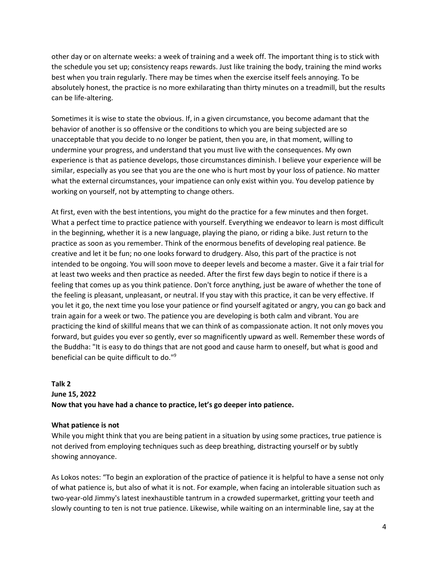other day or on alternate weeks: a week of training and a week off. The important thing is to stick with the schedule you set up; consistency reaps rewards. Just like training the body, training the mind works best when you train regularly. There may be times when the exercise itself feels annoying. To be absolutely honest, the practice is no more exhilarating than thirty minutes on a treadmill, but the results can be life-altering.

Sometimes it is wise to state the obvious. If, in a given circumstance, you become adamant that the behavior of another is so offensive or the conditions to which you are being subjected are so unacceptable that you decide to no longer be patient, then you are, in that moment, willing to undermine your progress, and understand that you must live with the consequences. My own experience is that as patience develops, those circumstances diminish. I believe your experience will be similar, especially as you see that you are the one who is hurt most by your loss of patience. No matter what the external circumstances, your impatience can only exist within you. You develop patience by working on yourself, not by attempting to change others.

At first, even with the best intentions, you might do the practice for a few minutes and then forget. What a perfect time to practice patience with yourself. Everything we endeavor to learn is most difficult in the beginning, whether it is a new language, playing the piano, or riding a bike. Just return to the practice as soon as you remember. Think of the enormous benefits of developing real patience. Be creative and let it be fun; no one looks forward to drudgery. Also, this part of the practice is not intended to be ongoing. You will soon move to deeper levels and become a master. Give it a fair trial for at least two weeks and then practice as needed. After the first few days begin to notice if there is a feeling that comes up as you think patience. Don't force anything, just be aware of whether the tone of the feeling is pleasant, unpleasant, or neutral. If you stay with this practice, it can be very effective. If you let it go, the next time you lose your patience or find yourself agitated or angry, you can go back and train again for a week or two. The patience you are developing is both calm and vibrant. You are practicing the kind of skillful means that we can think of as compassionate action. It not only moves you forward, but guides you ever so gently, ever so magnificently upward as well. Remember these words of the Buddha: "It is easy to do things that are not good and cause harm to oneself, but what is good and beneficial can be quite difficult to do."<sup>9</sup>

# **Talk 2 June 15, 2022 Now that you have had a chance to practice, let's go deeper into patience.**

## **What patience is not**

While you might think that you are being patient in a situation by using some practices, true patience is not derived from employing techniques such as deep breathing, distracting yourself or by subtly showing annoyance.

As Lokos notes: "To begin an exploration of the practice of patience it is helpful to have a sense not only of what patience is, but also of what it is not. For example, when facing an intolerable situation such as two-year-old Jimmy's latest inexhaustible tantrum in a crowded supermarket, gritting your teeth and slowly counting to ten is not true patience. Likewise, while waiting on an interminable line, say at the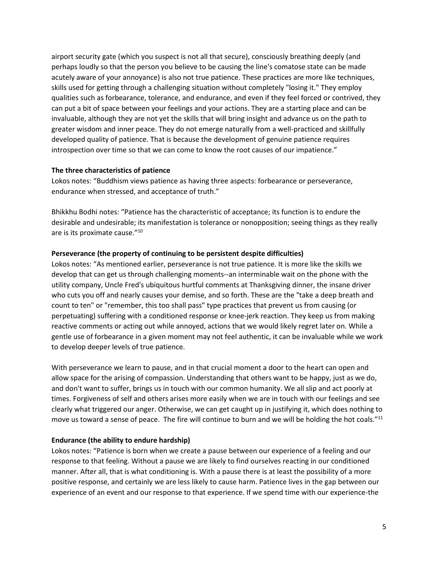airport security gate (which you suspect is not all that secure), consciously breathing deeply (and perhaps loudly so that the person you believe to be causing the line's comatose state can be made acutely aware of your annoyance) is also not true patience. These practices are more like techniques, skills used for getting through a challenging situation without completely "losing it." They employ qualities such as forbearance, tolerance, and endurance, and even if they feel forced or contrived, they can put a bit of space between your feelings and your actions. They are a starting place and can be invaluable, although they are not yet the skills that will bring insight and advance us on the path to greater wisdom and inner peace. They do not emerge naturally from a well-practiced and skillfully developed quality of patience. That is because the development of genuine patience requires introspection over time so that we can come to know the root causes of our impatience."

## **The three characteristics of patience**

Lokos notes: "Buddhism views patience as having three aspects: forbearance or perseverance, endurance when stressed, and acceptance of truth."

Bhikkhu Bodhi notes: "Patience has the characteristic of acceptance; its function is to endure the desirable and undesirable; its manifestation is tolerance or nonopposition; seeing things as they really are is its proximate cause."<sup>10</sup>

## **Perseverance (the property of continuing to be persistent despite difficulties)**

Lokos notes: "As mentioned earlier, perseverance is not true patience. It is more like the skills we develop that can get us through challenging moments--an interminable wait on the phone with the utility company, Uncle Fred's ubiquitous hurtful comments at Thanksgiving dinner, the insane driver who cuts you off and nearly causes your demise, and so forth. These are the "take a deep breath and count to ten" or "remember, this too shall pass" type practices that prevent us from causing (or perpetuating) suffering with a conditioned response or knee-jerk reaction. They keep us from making reactive comments or acting out while annoyed, actions that we would likely regret later on. While a gentle use of forbearance in a given moment may not feel authentic, it can be invaluable while we work to develop deeper levels of true patience.

With perseverance we learn to pause, and in that crucial moment a door to the heart can open and allow space for the arising of compassion. Understanding that others want to be happy, just as we do, and don't want to suffer, brings us in touch with our common humanity. We all slip and act poorly at times. Forgiveness of self and others arises more easily when we are in touch with our feelings and see clearly what triggered our anger. Otherwise, we can get caught up in justifying it, which does nothing to move us toward a sense of peace. The fire will continue to burn and we will be holding the hot coals."<sup>11</sup>

## **Endurance (the ability to endure hardship)**

Lokos notes: "Patience is born when we create a pause between our experience of a feeling and our response to that feeling. Without a pause we are likely to find ourselves reacting in our conditioned manner. After all, that is what conditioning is. With a pause there is at least the possibility of a more positive response, and certainly we are less likely to cause harm. Patience lives in the gap between our experience of an event and our response to that experience. If we spend time with our experience-the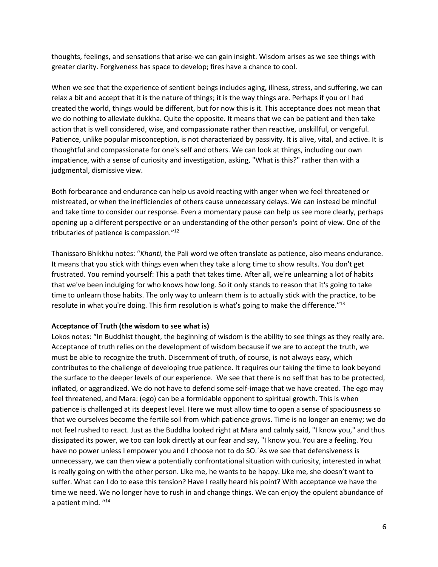thoughts, feelings, and sensations that arise-we can gain insight. Wisdom arises as we see things with greater clarity. Forgiveness has space to develop; fires have a chance to cool.

When we see that the experience of sentient beings includes aging, illness, stress, and suffering, we can relax a bit and accept that it is the nature of things; it is the way things are. Perhaps if you or I had created the world, things would be different, but for now this is it. This acceptance does not mean that we do nothing to alleviate dukkha. Quite the opposite. It means that we can be patient and then take action that is well considered, wise, and compassionate rather than reactive, unskillful, or vengeful. Patience, unlike popular misconception, is not characterized by passivity. It is alive, vital, and active. It is thoughtful and compassionate for one's self and others. We can look at things, including our own impatience, with a sense of curiosity and investigation, asking, "What is this?" rather than with a judgmental, dismissive view.

Both forbearance and endurance can help us avoid reacting with anger when we feel threatened or mistreated, or when the inefficiencies of others cause unnecessary delays. We can instead be mindful and take time to consider our response. Even a momentary pause can help us see more clearly, perhaps opening up a different perspective or an understanding of the other person's point of view. One of the tributaries of patience is compassion." 12

Thanissaro Bhikkhu notes: "*Khanti,* the Pali word we often translate as patience, also means endurance. It means that you stick with things even when they take a long time to show results. You don't get frustrated. You remind yourself: This a path that takes time. After all, we're unlearning a lot of habits that we've been indulging for who knows how long. So it only stands to reason that it's going to take time to unlearn those habits. The only way to unlearn them is to actually stick with the practice, to be resolute in what you're doing. This firm resolution is what's going to make the difference."<sup>13</sup>

#### **Acceptance of Truth (the wisdom to see what is)**

Lokos notes: "In Buddhist thought, the beginning of wisdom is the ability to see things as they really are. Acceptance of truth relies on the development of wisdom because if we are to accept the truth, we must be able to recognize the truth. Discernment of truth, of course, is not always easy, which contributes to the challenge of developing true patience. It requires our taking the time to look beyond the surface to the deeper levels of our experience. We see that there is no self that has to be protected, inflated, or aggrandized. We do not have to defend some self-image that we have created. The ego may feel threatened, and Mara: (ego) can be a formidable opponent to spiritual growth. This is when patience is challenged at its deepest level. Here we must allow time to open a sense of spaciousness so that we ourselves become the fertile soil from which patience grows. Time is no longer an enemy; we do not feel rushed to react. Just as the Buddha looked right at Mara and calmly said, "I know you," and thus dissipated its power, we too can look directly at our fear and say, "I know you. You are a feeling. You have no power unless I empower you and I choose not to do SO.´As we see that defensiveness is unnecessary, we can then view a potentially confrontational situation with curiosity, interested in what is really going on with the other person. Like me, he wants to be happy. Like me, she doesn't want to suffer. What can I do to ease this tension? Have I really heard his point? With acceptance we have the time we need. We no longer have to rush in and change things. We can enjoy the opulent abundance of a patient mind. " 14